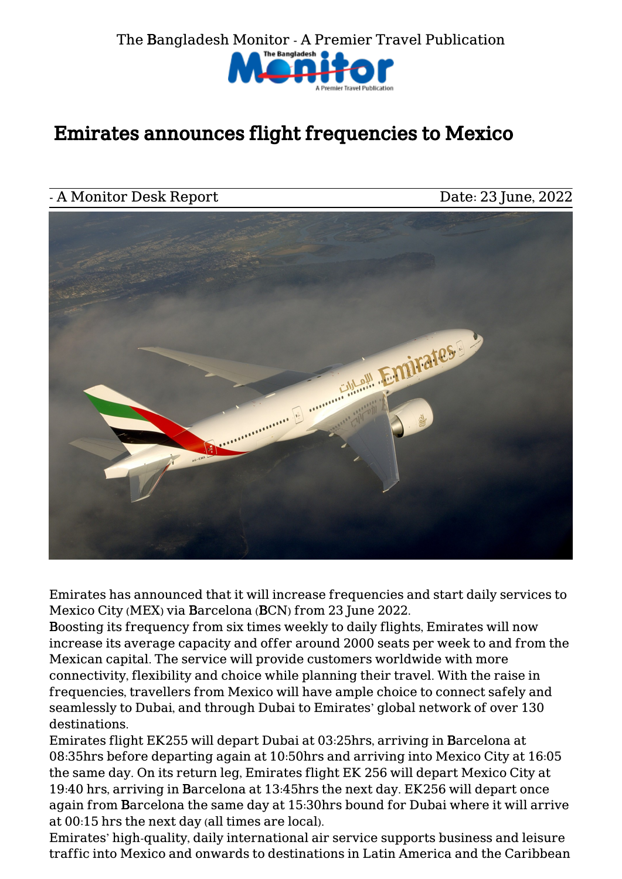

## Emirates announces flight frequencies to Mexico

## A Monitor Desk Report Date: 23 June, 2022



Emirates has announced that it will increase frequencies and start daily services to Mexico City (MEX) via Barcelona (BCN) from 23 June 2022.

Boosting its frequency from six times weekly to daily flights, Emirates will now increase its average capacity and offer around 2000 seats per week to and from the Mexican capital. The service will provide customers worldwide with more connectivity, flexibility and choice while planning their travel. With the raise in frequencies, travellers from Mexico will have ample choice to connect safely and seamlessly to Dubai, and through Dubai to Emirates' global network of over 130 destinations.

Emirates flight EK255 will depart Dubai at 03:25hrs, arriving in Barcelona at 08:35hrs before departing again at 10:50hrs and arriving into Mexico City at 16:05 the same day. On its return leg, Emirates flight EK 256 will depart Mexico City at 19:40 hrs, arriving in Barcelona at 13:45hrs the next day. EK256 will depart once again from Barcelona the same day at 15:30hrs bound for Dubai where it will arrive at 00:15 hrs the next day (all times are local).

Emirates' high-quality, daily international air service supports business and leisure traffic into Mexico and onwards to destinations in Latin America and the Caribbean